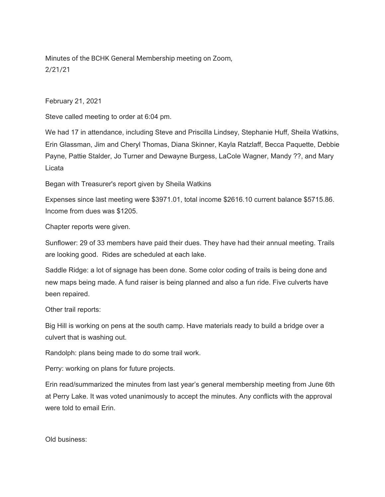Minutes of the BCHK General Membership meeting on Zoom, 2/21/21

February 21, 2021

Steve called meeting to order at 6:04 pm.

We had 17 in attendance, including Steve and Priscilla Lindsey, Stephanie Huff, Sheila Watkins, Erin Glassman, Jim and Cheryl Thomas, Diana Skinner, Kayla Ratzlaff, Becca Paquette, Debbie Payne, Pattie Stalder, Jo Turner and Dewayne Burgess, LaCole Wagner, Mandy ??, and Mary Licata

Began with Treasurer's report given by Sheila Watkins

Expenses since last meeting were \$3971.01, total income \$2616.10 current balance \$5715.86. Income from dues was \$1205.

Chapter reports were given.

Sunflower: 29 of 33 members have paid their dues. They have had their annual meeting. Trails are looking good. Rides are scheduled at each lake.

Saddle Ridge: a lot of signage has been done. Some color coding of trails is being done and new maps being made. A fund raiser is being planned and also a fun ride. Five culverts have been repaired.

Other trail reports:

Big Hill is working on pens at the south camp. Have materials ready to build a bridge over a culvert that is washing out.

Randolph: plans being made to do some trail work.

Perry: working on plans for future projects.

Erin read/summarized the minutes from last year's general membership meeting from June 6th at Perry Lake. It was voted unanimously to accept the minutes. Any conflicts with the approval were told to email Erin.

Old business: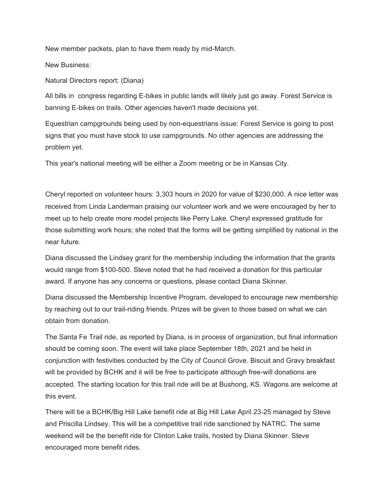New member packets, plan to have them ready by mid-March.

New Business:

Natural Directors report: (Diana)

All bills in congress regarding E-bikes in public lands will likely just go away. Forest Service is banning E-bikes on trails. Other agencies haven't made decisions yet.

Equestrian campgrounds being used by non-equestrians issue: Forest Service is going to post signs that you must have stock to use campgrounds. No other agencies are addressing the problem yet.

This year's national meeting will be either a Zoom meeting or be in Kansas City.

Cheryl reported on volunteer hours: 3,303 hours in 2020 for value of \$230,000. A nice letter was received from Linda Landerman praising our volunteer work and we were encouraged by her to meet up to help create more model projects like Perry Lake. Cheryl expressed gratitude for those submitting work hours; she noted that the forms will be getting simplified by national in the near future.

Diana discussed the Lindsey grant for the membership including the information that the grants would range from \$100-500. Steve noted that he had received a donation for this particular award. If anyone has any concerns or questions, please contact Diana Skinner.

Diana discussed the Membership Incentive Program, developed to encourage new membership by reaching out to our trail-riding friends. Prizes will be given to those based on what we can obtain from donation.

The Santa Fe Trail ride, as reported by Diana, is in process of organization, but final information should be coming soon. The event will take place September 18th, 2021 and be held in conjunction with festivities conducted by the City of Council Grove. Biscuit and Gravy breakfast will be provided by BCHK and it will be free to participate although free-will donations are accepted. The starting location for this trail ride will be at Bushong, KS. Wagons are welcome at this event.

There will be a BCHK/Big Hill Lake benefit ride at Big Hill Lake April 23-25 managed by Steve and Priscilla Lindsey. This will be a competitive trail ride sanctioned by NATRC. The same weekend will be the benefit ride for Clinton Lake trails, hosted by Diana Skinner. Steve encouraged more benefit rides.